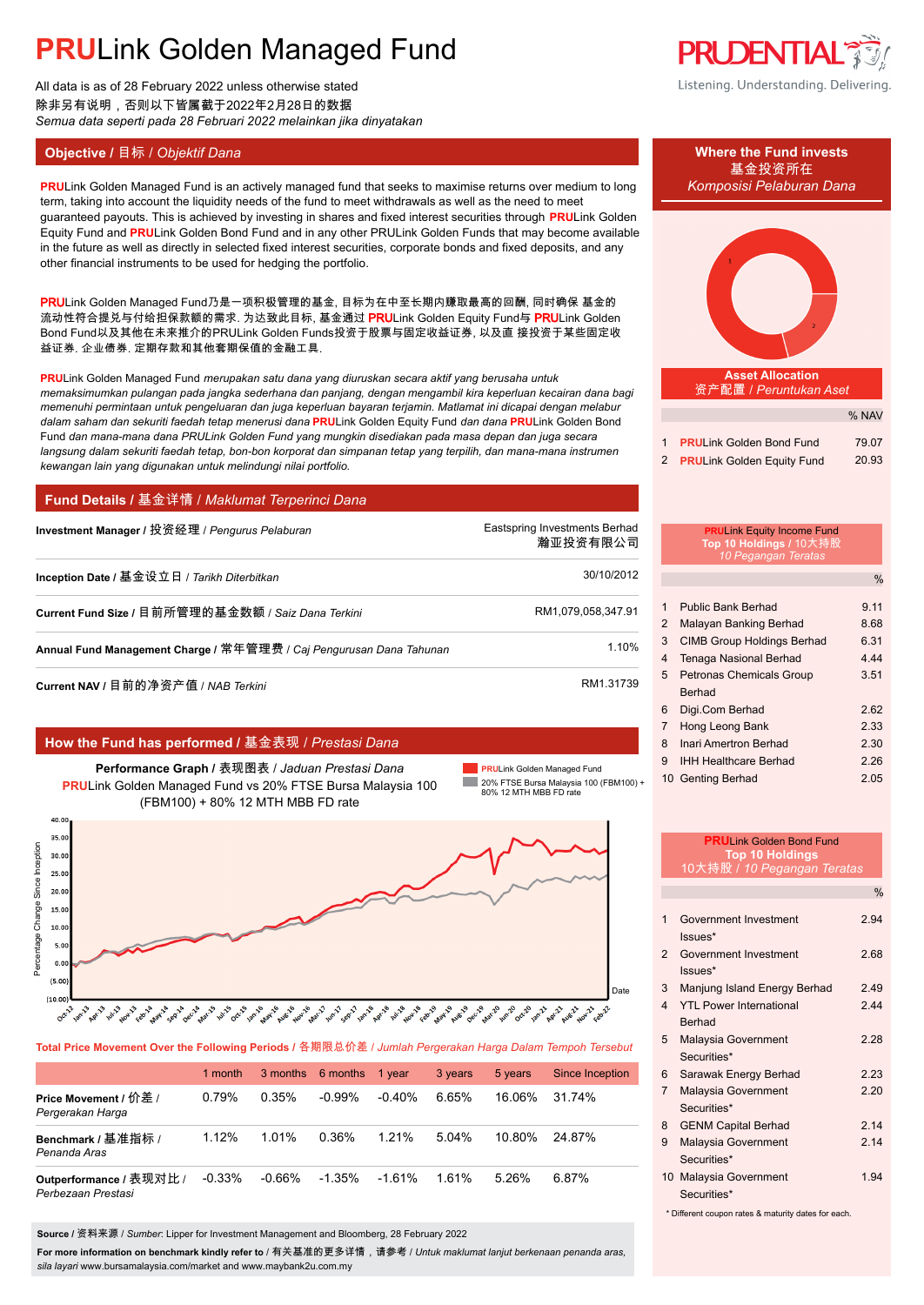All data is as of 28 February 2022 unless otherwise stated 除非另有说明,否则以下皆属截于2022年2月28日的数据 *Semua data seperti pada 28 Februari 2022 melainkan jika dinyatakan*

#### **Objective /** 目标 / *Objektif Dana* **Where the Fund invests**

**PRULink Golden Managed Fund is an actively managed fund that seeks to maximise returns over medium to long** *Komposisi Pelaburan Dana* term, taking into account the liquidity needs of the fund to meet withdrawals as well as the need to meet guaranteed payouts. This is achieved by investing in shares and fixed interest securities through **PRU**Link Golden Equity Fund and **PRU**Link Golden Bond Fund and in any other PRULink Golden Funds that may become available in the future as well as directly in selected fixed interest securities, corporate bonds and fixed deposits, and any other financial instruments to be used for hedging the portfolio.

PRULink Golden Managed Fund乃是一项积极管理的基金, 目标为在中至长期内赚取最高的回酬, 同时确保 基金的 流动性符合提兑与付给担保款额的需求. 为达致此目标, 基金通过 PRULink Golden Equity Fund与 PRULink Golden Bond Fund以及其他在未来推介的PRULink Golden Funds投资于股票与固定收益证券, 以及直 接投资于某些固定收 益证券, 企业债券, 定期存款和其他套期保值的金融工具.

**PRU**Link Golden Managed Fund *merupakan satu dana yang diuruskan secara aktif yang berusaha untuk memaksimumkan pulangan pada jangka sederhana dan panjang, dengan mengambil kira keperluan kecairan dana bagi memenuhi permintaan untuk pengeluaran dan juga keperluan bayaran terjamin. Matlamat ini dicapai dengan melabur dalam saham dan sekuriti faedah tetap menerusi dana* **PRU**Link Golden Equity Fund *dan dana* **PRU**Link Golden Bond Fund *dan mana-mana dana PRULink Golden Fund yang mungkin disediakan pada masa depan dan juga secara langsung dalam sekuriti faedah tetap, bon-bon korporat dan simpanan tetap yang terpilih, dan mana-mana instrumen kewangan lain yang digunakan untuk melindungi nilai portfolio.*

#### **Fund Details /** 基金详情 / *Maklumat Terperinci Dana*

| Investment Manager / 投资经理 / Pengurus Pelaburan                      | Eastspring Investments Berhad<br>瀚亚投资有限公司 |
|---------------------------------------------------------------------|-------------------------------------------|
| Inception Date / 基金设立日 / Tarikh Diterbitkan                         | 30/10/2012                                |
| Current Fund Size / 目前所管理的基金数额 / Saiz Dana Terkini                  | RM1,079,058,347.91                        |
| Annual Fund Management Charge / 常年管理费 / Caj Pengurusan Dana Tahunan | 1.10%                                     |
|                                                                     |                                           |

**Current NAV /** 目前的净资产值 / *NAB Terkini* RM1.31739.

#### **How the Fund has performed /** 基金表现 / *Prestasi Dana*

**Performance Graph /** 表现图表 / *Jaduan Prestasi Dana* **PRU**Link Golden Managed Fund vs 20% FTSE Bursa Malaysia 100 (FBM100) + 80% 12 MTH MBB FD rate

**PRU**Link Golden Managed Fund **College** 20% FTSE Bursa Malaysia 100 (FBM100) + 80% 12 MTH MBB FD rate



**Total Price Movement Over the Following Periods /** 各期限总价差 / *Jumlah Pergerakan Harga Dalam Tempoh Tersebut*

|                                               | 1 month  |        | 3 months 6 months | 1 vear    | 3 years | 5 years | Since Inception |
|-----------------------------------------------|----------|--------|-------------------|-----------|---------|---------|-----------------|
| Price Movement / 价差 /<br>Pergerakan Harga     | 0.79%    | 0.35%  | $-0.99\%$         | $-0.40\%$ | 6.65%   | 16 06%  | 31.74%          |
| Benchmark / 基准指标 /<br>Penanda Aras            | 1.12%    | 1.01%  | 0.36%             | 1.21%     | 5.04%   | 10.80%  | 24 87%          |
| Outperformance / 表现对比 /<br>Perbezaan Prestasi | $-0.33%$ | -0.66% | $-1.35\%$         | $-1.61\%$ | 1.61%   | 5.26%   | 6.87%           |

**Source /** 资料来源 / *Sumber*: Lipper for Investment Management and Bloomberg, 28 February 2022

**For more information on benchmark kindly refer to** / 有关基准的更多详情,请参考 / *Untuk maklumat lanjut berkenaan penanda aras, sila layari* www.bursamalaysia.com/market and www.maybank2u.com.my



### 基金投资所在



|                              | % NAV |
|------------------------------|-------|
| 1 PRULink Golden Bond Fund   | 79.07 |
| 2 PRULink Golden Equity Fund | 20.93 |

### **PRU**Link Equity Income Fund **Top 10 Holdings /** 10大持股 *10 Pegangan Teratas*

%

| 1              | <b>Public Bank Berhad</b>         | 9.11 |
|----------------|-----------------------------------|------|
| 2              | Malayan Banking Berhad            | 8.68 |
| 3              | <b>CIMB Group Holdings Berhad</b> | 6.31 |
| 4              | <b>Tenaga Nasional Berhad</b>     | 4.44 |
| 5              | Petronas Chemicals Group          | 3.51 |
|                | <b>Berhad</b>                     |      |
| 6              | Digi.Com Berhad                   | 2.62 |
| $\overline{7}$ | Hong Leong Bank                   | 2.33 |
| 8              | Inari Amertron Berhad             | 2.30 |
| 9              | <b>IHH Healthcare Berhad</b>      | 2.26 |
|                | 10 Genting Berhad                 | 2.05 |

|                | <b>PRULink Golden Bond Fund</b><br><b>Top 10 Holdings</b><br>10大持股 / 10 Pegangan Teratas |               |
|----------------|------------------------------------------------------------------------------------------|---------------|
|                |                                                                                          | $\frac{0}{0}$ |
| 1              | Government Investment<br>Issues*                                                         | 2.94          |
| $\overline{2}$ | Government Investment<br>$lssues*$                                                       | 2.68          |
| $\mathcal{S}$  | Manjung Island Energy Berhad                                                             | 249           |
| $\Delta$       | <b>YTL Power International</b><br><b>Berhad</b>                                          | 244           |
| 5              | Malaysia Government<br>Securities*                                                       | 2 28          |
| 6              | Sarawak Energy Berhad                                                                    | 2.23          |
| $\overline{7}$ | Malaysia Government<br>Securities*                                                       | 220           |
| 8              | <b>GENM Capital Berhad</b>                                                               | 2.14          |
| 9              | Malaysia Government<br>Securities*                                                       | 2.14          |
|                | 10 Malaysia Government<br>Securities*                                                    | 1 94          |

\* Different coupon rates & maturity dates for each.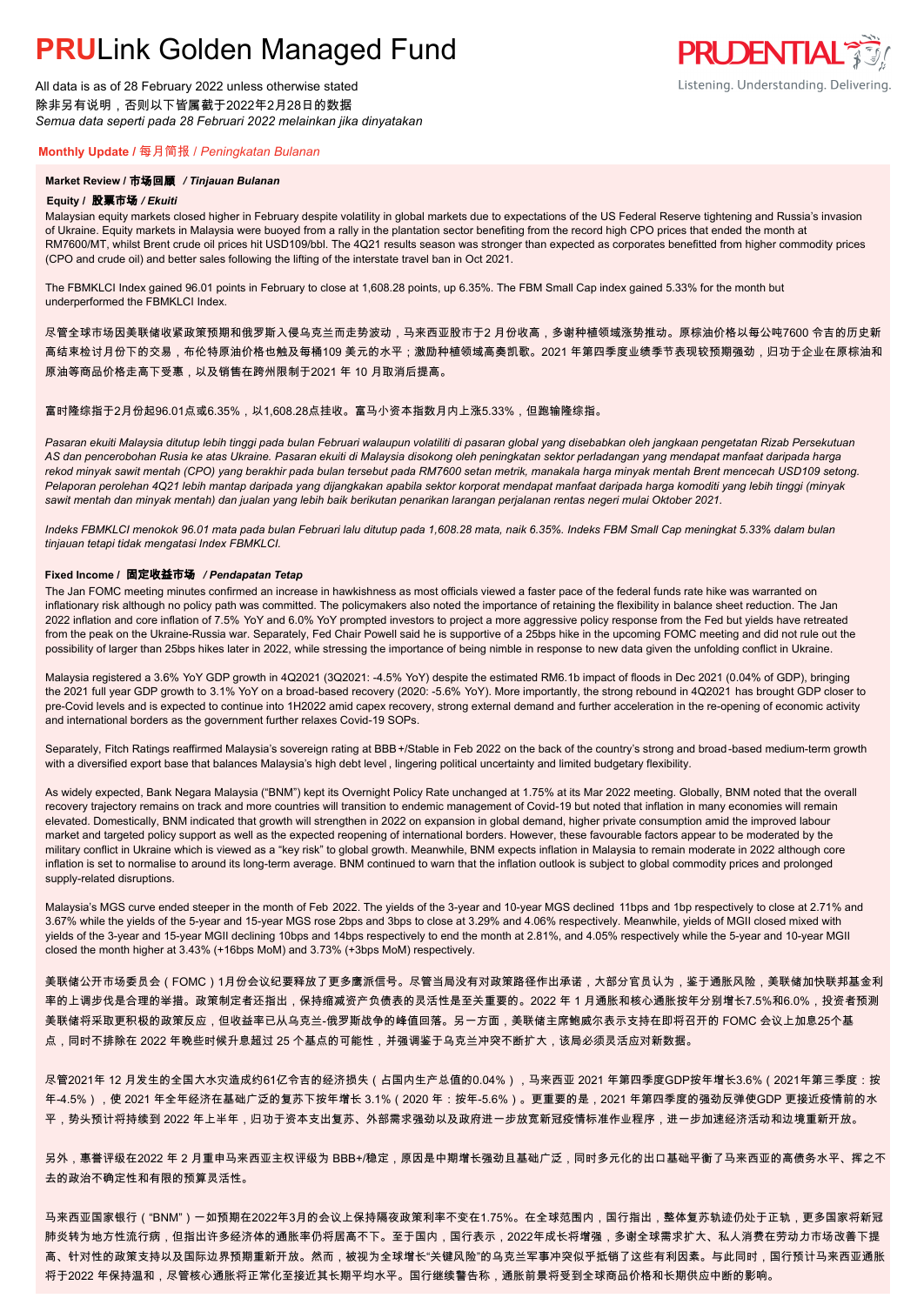All data is as of 28 February 2022 unless otherwise stated 除非另有说明,否则以下皆属截于2022年2月28日的数据 *Semua data seperti pada 28 Februari 2022 melainkan jika dinyatakan*

### **PRUDENTIAL** Listening. Understanding. Delivering.

### **Monthly Update /** 每月简报 / *Peningkatan Bulanan*

#### **Market Review /** 市场回顾 */ Tinjauan Bulanan*

#### **Equity /** 股票市场 */ Ekuiti.*

Malaysian equity markets closed higher in February despite volatility in global markets due to expectations of the US Federal Reserve tightening and Russia's invasion of Ukraine. Equity markets in Malaysia were buoyed from a rally in the plantation sector benefiting from the record high CPO prices that ended the month at RM7600/MT, whilst Brent crude oil prices hit USD109/bbl. The 4Q21 results season was stronger than expected as corporates benefitted from higher commodity prices (CPO and crude oil) and better sales following the lifting of the interstate travel ban in Oct 2021.

The FBMKLCI Index gained 96.01 points in February to close at 1,608.28 points, up 6.35%. The FBM Small Cap index gained 5.33% for the month but underperformed the FBMKLCI Index.

尽管全球市场因美联储收紧政策预期和俄罗斯入侵乌克兰而走势波动,马来西亚股市于2 月份收高,多谢种植领域涨势推动。原棕油价格以每公吨7600 令吉的历史新 高结束检讨月份下的交易,布伦特原油价格也触及每桶109 美元的水平;激励种植领域高奏凯歌。2021 年第四季度业绩季节表现较预期强劲,归功于企业在原棕油和 原油等商品价格走高下受惠,以及销售在跨州限制于2021 年 10 月取消后提高。

#### 富时隆综指于2月份起96.01点或6.35%,以1,608.28点挂收。富马小资本指数月内上涨5.33%,但跑输隆综指。

*Pasaran ekuiti Malaysia ditutup lebih tinggi pada bulan Februari walaupun volatiliti di pasaran global yang disebabkan oleh jangkaan pengetatan Rizab Persekutuan AS dan pencerobohan Rusia ke atas Ukraine. Pasaran ekuiti di Malaysia disokong oleh peningkatan sektor perladangan yang mendapat manfaat daripada harga rekod minyak sawit mentah (CPO) yang berakhir pada bulan tersebut pada RM7600 setan metrik, manakala harga minyak mentah Brent mencecah USD109 setong. Pelaporan perolehan 4Q21 lebih mantap daripada yang dijangkakan apabila sektor korporat mendapat manfaat daripada harga komoditi yang lebih tinggi (minyak sawit mentah dan minyak mentah) dan jualan yang lebih baik berikutan penarikan larangan perjalanan rentas negeri mulai Oktober 2021.*

*Indeks FBMKLCI menokok 96.01 mata pada bulan Februari lalu ditutup pada 1,608.28 mata, naik 6.35%. Indeks FBM Small Cap meningkat 5.33% dalam bulan tinjauan tetapi tidak mengatasi Index FBMKLCI.*

#### **Fixed Income /** 固定收益市场 */ Pendapatan Tetap*

*.* The Jan FOMC meeting minutes confirmed an increase in hawkishness as most officials viewed a faster pace of the federal funds rate hike was warranted on inflationary risk although no policy path was committed. The policymakers also noted the importance of retaining the flexibility in balance sheet reduction. The Jan 2022 inflation and core inflation of 7.5% YoY and 6.0% YoY prompted investors to project a more aggressive policy response from the Fed but yields have retreated from the peak on the Ukraine-Russia war. Separately, Fed Chair Powell said he is supportive of a 25bps hike in the upcoming FOMC meeting and did not rule out the possibility of larger than 25bps hikes later in 2022, while stressing the importance of being nimble in response to new data given the unfolding conflict in Ukraine.

Malaysia registered a 3.6% YoY GDP growth in 4Q2021 (3Q2021: -4.5% YoY) despite the estimated RM6.1b impact of floods in Dec 2021 (0.04% of GDP), bringing the 2021 full year GDP growth to 3.1% YoY on a broad-based recovery (2020: -5.6% YoY). More importantly, the strong rebound in 4Q2021 has brought GDP closer to pre-Covid levels and is expected to continue into 1H2022 amid capex recovery, strong external demand and further acceleration in the re-opening of economic activity and international borders as the government further relaxes Covid-19 SOPs.

Separately, Fitch Ratings reaffirmed Malaysia's sovereign rating at BBB+/Stable in Feb 2022 on the back of the country's strong and broad-based medium-term growth with a diversified export base that balances Malaysia's high debt level , lingering political uncertainty and limited budgetary flexibility.

As widely expected, Bank Negara Malaysia ("BNM") kept its Overnight Policy Rate unchanged at 1.75% at its Mar 2022 meeting. Globally, BNM noted that the overall recovery trajectory remains on track and more countries will transition to endemic management of Covid-19 but noted that inflation in many economies will remain elevated. Domestically, BNM indicated that growth will strengthen in 2022 on expansion in global demand, higher private consumption amid the improved labour market and targeted policy support as well as the expected reopening of international borders. However, these favourable factors appear to be moderated by the military conflict in Ukraine which is viewed as a "key risk" to global growth. Meanwhile, BNM expects inflation in Malaysia to remain moderate in 2022 although core inflation is set to normalise to around its long-term average. BNM continued to warn that the inflation outlook is subject to global commodity prices and prolonged supply-related disruptions.

Malaysia's MGS curve ended steeper in the month of Feb 2022. The yields of the 3-year and 10-year MGS declined 11bps and 1bp respectively to close at 2.71% and 3.67% while the yields of the 5-year and 15-year MGS rose 2bps and 3bps to close at 3.29% and 4.06% respectively. Meanwhile, yields of MGII closed mixed with yields of the 3-year and 15-year MGII declining 10bps and 14bps respectively to end the month at 2.81%, and 4.05% respectively while the 5-year and 10-year MGII closed the month higher at 3.43% (+16bps MoM) and 3.73% (+3bps MoM) respectively.

美联储公开市场委员会(FOMC)1月份会议纪要释放了更多鹰派信号。尽管当局没有对政策路径作出承诺,大部分官员认为,鉴于通胀风险,美联储加快联邦基金利 率的上调步伐是合理的举措。政策制定者还指出,保持缩减资产负债表的灵活性是至关重要的。2022 年 1 月通胀和核心通胀按年分别增长7.5%和6.0%,投资者预测 美联储将采取更积极的政策反应,但收益率已从乌克兰-俄罗斯战争的峰值回落。另一方面,美联储主席鲍威尔表示支持在即将召开的 FOMC 会议上加息25个基 点,同时不排除在 2022 年晚些时候升息超过 25 个基点的可能性,并强调鉴于乌克兰冲突不断扩大,该局必须灵活应对新数据。

尽管2021年 12 月发生的全国大水灾造成约61亿令吉的经济损失(占国内生产总值的0.04%),马来西亚 2021 年第四季度GDP按年增长3.6%(2021年第三季度:按 年-4.5%),使 2021 年全年经济在基础广泛的复苏下按年增长 3.1%(2020 年:按年-5.6%)。更重要的是,2021 年第四季度的强劲反弹使GDP 更接近疫情前的水 平,势头预计将持续到 2022 年上半年,归功于资本支出复苏、外部需求强劲以及政府进一步放宽新冠疫情标准作业程序,进一步加速经济活动和边境重新开放。

另外,惠誉评级在2022 年 2 月重申马来西亚主权评级为 BBB+/稳定,原因是中期增长强劲且基础广泛,同时多元化的出口基础平衡了马来西亚的高债务水平、挥之不 去的政治不确定性和有限的预算灵活性。

马来西亚国家银行("BNM")一如预期在2022年3月的会议上保持隔夜政策利率不变在1.75%。在全球范围内,国行指出,整体复苏轨迹仍处于正轨,更多国家将新冠 肺炎转为地方性流行病,但指出许多经济体的通胀率仍将居高不下。至于国内,国行表示,2022年成长将增强,多谢全球需求扩大、私人消费在劳动力市场改善下提 高、针对性的政策支持以及国际边界预期重新开放。然而,被视为全球增长"关键风险"的乌克兰军事冲突似乎抵销了这些有利因素。与此同时,国行预计马来西亚通胀 将于2022 年保持温和,尽管核心通胀将正常化至接近其长期平均水平。国行继续警告称,通胀前景将受到全球商品价格和长期供应中断的影响。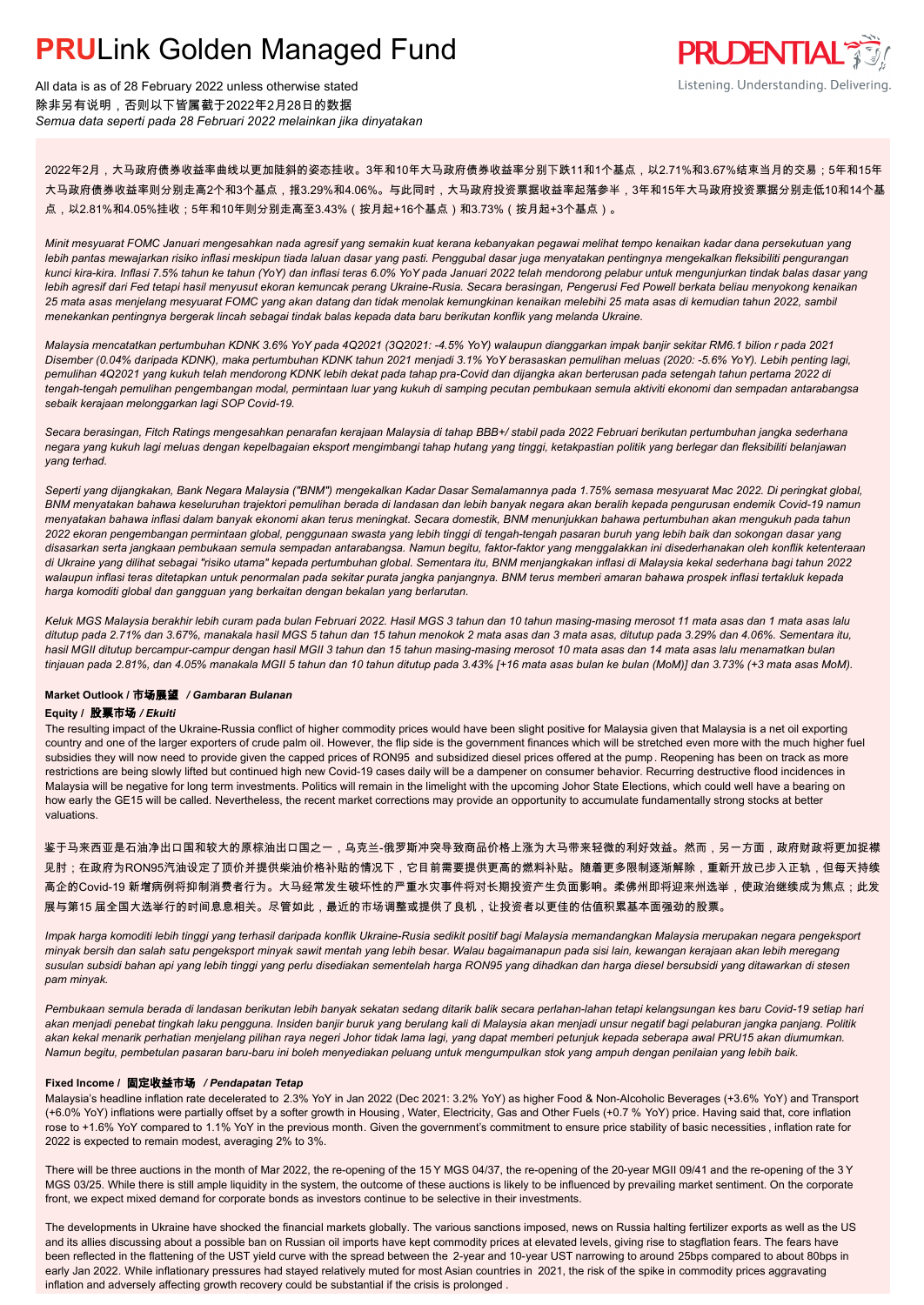

All data is as of 28 February 2022 unless otherwise stated 除非另有说明,否则以下皆属截于2022年2月28日的数据 *Semua data seperti pada 28 Februari 2022 melainkan jika dinyatakan*

2022年2月,大马政府债券收益率曲线以更加陡斜的姿态挂收。3年和10年大马政府债券收益率分别下跌11和1个基点,以2.71%和3.67%结束当月的交易;5年和15年 大马政府债券收益率则分别走高2个和3个基点,报3.29%和4.06%。与此同时,大马政府投资票据收益率起落参半,3年和15年大马政府投资票据分别走低10和14个基 点,以2.81%和4.05%挂收;5年和10年则分别走高至3.43%(按月起+16个基点)和3.73%(按月起+3个基点)。

*Minit mesyuarat FOMC Januari mengesahkan nada agresif yang semakin kuat kerana kebanyakan pegawai melihat tempo kenaikan kadar dana persekutuan yang lebih pantas mewajarkan risiko inflasi meskipun tiada laluan dasar yang pasti. Penggubal dasar juga menyatakan pentingnya mengekalkan fleksibiliti pengurangan kunci kira-kira. Inflasi 7.5% tahun ke tahun (YoY) dan inflasi teras 6.0% YoY pada Januari 2022 telah mendorong pelabur untuk mengunjurkan tindak balas dasar yang lebih agresif dari Fed tetapi hasil menyusut ekoran kemuncak perang Ukraine-Rusia. Secara berasingan, Pengerusi Fed Powell berkata beliau menyokong kenaikan 25 mata asas menjelang mesyuarat FOMC yang akan datang dan tidak menolak kemungkinan kenaikan melebihi 25 mata asas di kemudian tahun 2022, sambil menekankan pentingnya bergerak lincah sebagai tindak balas kepada data baru berikutan konflik yang melanda Ukraine.*

*Malaysia mencatatkan pertumbuhan KDNK 3.6% YoY pada 4Q2021 (3Q2021: -4.5% YoY) walaupun dianggarkan impak banjir sekitar RM6.1 bilion r pada 2021 Disember (0.04% daripada KDNK), maka pertumbuhan KDNK tahun 2021 menjadi 3.1% YoY berasaskan pemulihan meluas (2020: -5.6% YoY). Lebih penting lagi, pemulihan 4Q2021 yang kukuh telah mendorong KDNK lebih dekat pada tahap pra-Covid dan dijangka akan berterusan pada setengah tahun pertama 2022 di tengah-tengah pemulihan pengembangan modal, permintaan luar yang kukuh di samping pecutan pembukaan semula aktiviti ekonomi dan sempadan antarabangsa sebaik kerajaan melonggarkan lagi SOP Covid-19.*

*Secara berasingan, Fitch Ratings mengesahkan penarafan kerajaan Malaysia di tahap BBB+/ stabil pada 2022 Februari berikutan pertumbuhan jangka sederhana negara yang kukuh lagi meluas dengan kepelbagaian eksport mengimbangi tahap hutang yang tinggi, ketakpastian politik yang berlegar dan fleksibiliti belanjawan yang terhad.*

*Seperti yang dijangkakan, Bank Negara Malaysia ("BNM") mengekalkan Kadar Dasar Semalamannya pada 1.75% semasa mesyuarat Mac 2022. Di peringkat global, BNM menyatakan bahawa keseluruhan trajektori pemulihan berada di landasan dan lebih banyak negara akan beralih kepada pengurusan endemik Covid-19 namun menyatakan bahawa inflasi dalam banyak ekonomi akan terus meningkat. Secara domestik, BNM menunjukkan bahawa pertumbuhan akan mengukuh pada tahun 2022 ekoran pengembangan permintaan global, penggunaan swasta yang lebih tinggi di tengah-tengah pasaran buruh yang lebih baik dan sokongan dasar yang disasarkan serta jangkaan pembukaan semula sempadan antarabangsa. Namun begitu, faktor-faktor yang menggalakkan ini disederhanakan oleh konflik ketenteraan di Ukraine yang dilihat sebagai "risiko utama" kepada pertumbuhan global. Sementara itu, BNM menjangkakan inflasi di Malaysia kekal sederhana bagi tahun 2022 walaupun inflasi teras ditetapkan untuk penormalan pada sekitar purata jangka panjangnya. BNM terus memberi amaran bahawa prospek inflasi tertakluk kepada harga komoditi global dan gangguan yang berkaitan dengan bekalan yang berlarutan.*

*Keluk MGS Malaysia berakhir lebih curam pada bulan Februari 2022. Hasil MGS 3 tahun dan 10 tahun masing-masing merosot 11 mata asas dan 1 mata asas lalu ditutup pada 2.71% dan 3.67%, manakala hasil MGS 5 tahun dan 15 tahun menokok 2 mata asas dan 3 mata asas, ditutup pada 3.29% dan 4.06%. Sementara itu, hasil MGII ditutup bercampur-campur dengan hasil MGII 3 tahun dan 15 tahun masing-masing merosot 10 mata asas dan 14 mata asas lalu menamatkan bulan tinjauan pada 2.81%, dan 4.05% manakala MGII 5 tahun dan 10 tahun ditutup pada 3.43% [+16 mata asas bulan ke bulan (MoM)] dan 3.73% (+3 mata asas MoM).*

#### **Market Outlook /** 市场展望 */ Gambaran Bulanan*

#### **Equity /** 股票市场 */ Ekuiti .*

The resulting impact of the Ukraine-Russia conflict of higher commodity prices would have been slight positive for Malaysia given that Malaysia is a net oil exporting country and one of the larger exporters of crude palm oil. However, the flip side is the government finances which will be stretched even more with the much higher fuel subsidies they will now need to provide given the capped prices of RON95 and subsidized diesel prices offered at the pump. Reopening has been on track as more restrictions are being slowly lifted but continued high new Covid-19 cases daily will be a dampener on consumer behavior. Recurring destructive flood incidences in Malaysia will be negative for long term investments. Politics will remain in the limelight with the upcoming Johor State Elections, which could well have a bearing on how early the GE15 will be called. Nevertheless, the recent market corrections may provide an opportunity to accumulate fundamentally strong stocks at better valuations.

鉴于马来西亚是石油净出口国和较大的原棕油出口国之一,乌克兰-俄罗斯冲突导致商品价格上涨为大马带来轻微的利好效益。然而,另一方面,政府财政将更加捉襟 <mark>见肘;在政府为RON95汽油设定了顶价并提供柴油价格补贴的情况下,它目前需要提供更高的燃料补贴。随着更多限制逐渐解除,重新开放已步入正轨,但每天持续</mark> 高企的Covid-19 新增病例将抑制消费者行为。大马经常发生破坏性的严重水灾事件将对长期投资产生负面影响。柔佛州即将迎来州选举,使政治继续成为焦点;此发 展与第15 届全国大选举行的时间息息相关。尽管如此,最近的市场调整或提供了良机,让投资者以更佳的估值积累基本面强劲的股票。

*Impak harga komoditi lebih tinggi yang terhasil daripada konflik Ukraine-Rusia sedikit positif bagi Malaysia memandangkan Malaysia merupakan negara pengeksport minyak bersih dan salah satu pengeksport minyak sawit mentah yang lebih besar. Walau bagaimanapun pada sisi lain, kewangan kerajaan akan lebih meregang susulan subsidi bahan api yang lebih tinggi yang perlu disediakan sementelah harga RON95 yang dihadkan dan harga diesel bersubsidi yang ditawarkan di stesen pam minyak.*

*Pembukaan semula berada di landasan berikutan lebih banyak sekatan sedang ditarik balik secara perlahan-lahan tetapi kelangsungan kes baru Covid-19 setiap hari akan menjadi penebat tingkah laku pengguna. Insiden banjir buruk yang berulang kali di Malaysia akan menjadi unsur negatif bagi pelaburan jangka panjang. Politik akan kekal menarik perhatian menjelang pilihan raya negeri Johor tidak lama lagi, yang dapat memberi petunjuk kepada seberapa awal PRU15 akan diumumkan. Namun begitu, pembetulan pasaran baru-baru ini boleh menyediakan peluang untuk mengumpulkan stok yang ampuh dengan penilaian yang lebih baik.*

#### **Fixed Income /** 固定收益市场 */ Pendapatan Tetap*

*.* Malaysia's headline inflation rate decelerated to 2.3% YoY in Jan 2022 (Dec 2021: 3.2% YoY) as higher Food & Non-Alcoholic Beverages (+3.6% YoY) and Transport (+6.0% YoY) inflations were partially offset by a softer growth in Housing , Water, Electricity, Gas and Other Fuels (+0.7 % YoY) price. Having said that, core inflation rose to +1.6% YoY compared to 1.1% YoY in the previous month. Given the government's commitment to ensure price stability of basic necessities , inflation rate for 2022 is expected to remain modest, averaging 2% to 3%.

There will be three auctions in the month of Mar 2022, the re-opening of the 15 Y MGS 04/37, the re-opening of the 20-year MGII 09/41 and the re-opening of the 3 Y MGS 03/25. While there is still ample liquidity in the system, the outcome of these auctions is likely to be influenced by prevailing market sentiment. On the corporate front, we expect mixed demand for corporate bonds as investors continue to be selective in their investments.

The developments in Ukraine have shocked the financial markets globally. The various sanctions imposed, news on Russia halting fertilizer exports as well as the US and its allies discussing about a possible ban on Russian oil imports have kept commodity prices at elevated levels, giving rise to stagflation fears. The fears have been reflected in the flattening of the UST yield curve with the spread between the 2-year and 10-year UST narrowing to around 25bps compared to about 80bps in early Jan 2022. While inflationary pressures had stayed relatively muted for most Asian countries in 2021, the risk of the spike in commodity prices aggravating inflation and adversely affecting growth recovery could be substantial if the crisis is prolonged .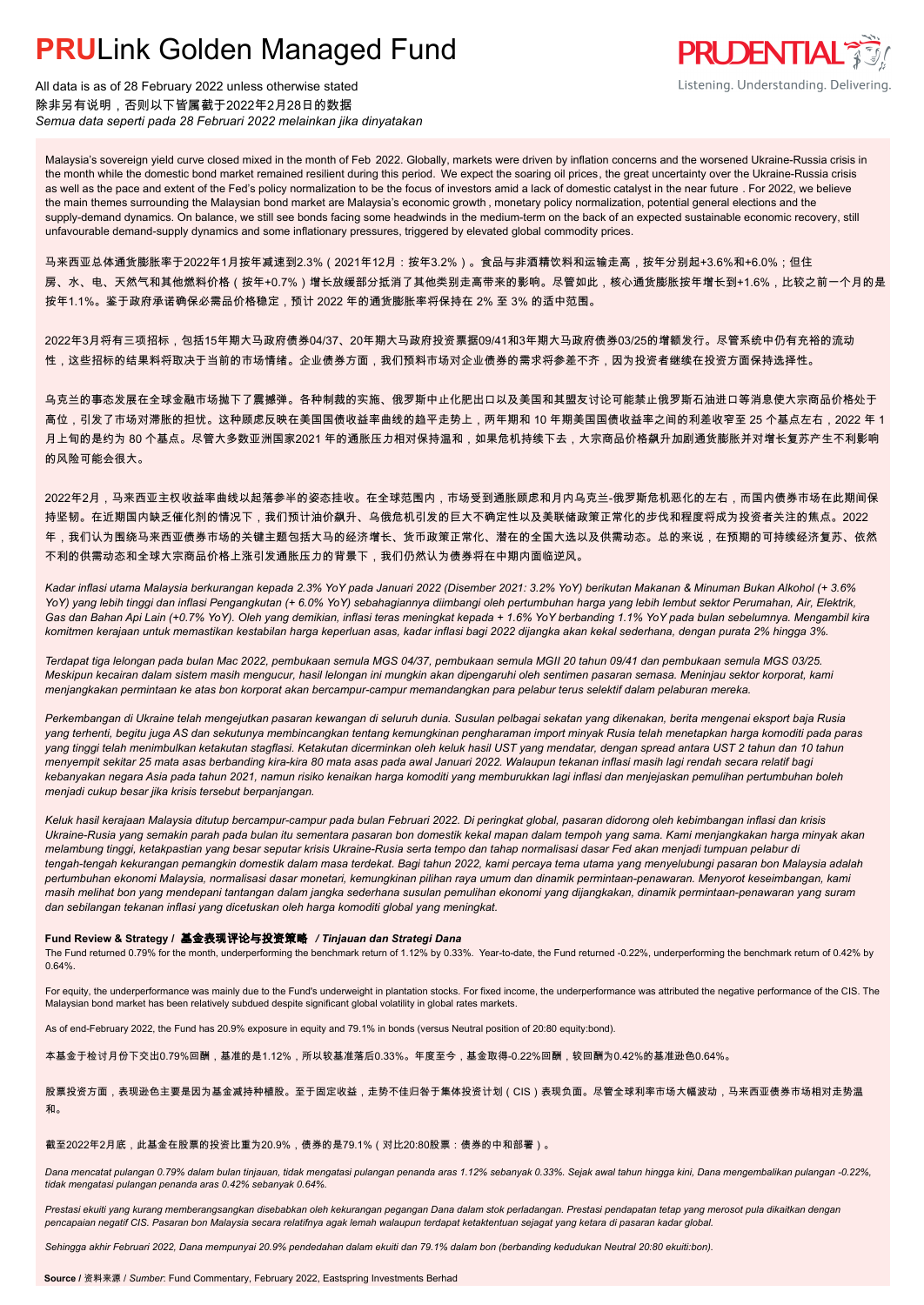

All data is as of 28 February 2022 unless otherwise stated 除非另有说明,否则以下皆属截于2022年2月28日的数据 *Semua data seperti pada 28 Februari 2022 melainkan jika dinyatakan*

Malaysia's sovereign yield curve closed mixed in the month of Feb 2022. Globally, markets were driven by inflation concerns and the worsened Ukraine-Russia crisis in the month while the domestic bond market remained resilient during this period. We expect the soaring oil prices, the great uncertainty over the Ukraine-Russia crisis as well as the pace and extent of the Fed's policy normalization to be the focus of investors amid a lack of domestic catalyst in the near future . For 2022, we believe the main themes surrounding the Malaysian bond market are Malaysia's economic growth , monetary policy normalization, potential general elections and the supply-demand dynamics. On balance, we still see bonds facing some headwinds in the medium-term on the back of an expected sustainable economic recovery, still unfavourable demand-supply dynamics and some inflationary pressures, triggered by elevated global commodity prices.

马来西亚总体通货膨胀率于2022年1月按年减速到2.3%(2021年12月:按年3.2%)。食品与非酒精饮料和运输走高,按年分别起+3.6%和+6.0%;但住 房、水、电、天然气和其他燃料价格(按年+0.7%)增长放缓部分抵消了其他类别走高带来的影响。尽管如此,核心通货膨胀按年增长到+1.6%,比较之前一个月的是 按年1.1%。鉴于政府承诺确保必需品价格稳定,预计 2022 年的通货膨胀率将保持在 2% 至 3% 的适中范围。

2022年3月将有三项招标,包括15年期大马政府债券04/37、20年期大马政府投资票据09/41和3年期大马政府债券03/25的增额发行。尽管系统中仍有充裕的流动 性,这些招标的结果料将取决于当前的市场情绪。企业债券方面,我们预料市场对企业债券的需求将参差不齐,因为投资者继续在投资方面保持选择性。

乌克兰的事态发展在全球金融市场抛下了震撼弹。各种制裁的实施、俄罗斯中止化肥出口以及美国和其盟友讨论可能禁止俄罗斯石油进口等消息使大宗商品价格处于 高位,引发了市场对滞胀的担忧。这种顾虑反映在美国国债收益率曲线的趋平走势上,两年期和 10 年期美国国债收益率之间的利差收窄至 25 个基点左右,2022 年 1 月上旬的是约为 80 个基点。尽管大多数亚洲国家2021 年的通胀压力相对保持温和,如果危机持续下去,大宗商品价格飙升加剧通货膨胀并对增长复苏产生不利影响 的风险可能会很大。

2022年2月,马来西亚主权收益率曲线以起落参半的姿态挂收。在全球范围内,市场受到通胀顾虑和月内乌克兰-俄罗斯危机恶化的左右,而国内债券市场在此期间保 持坚韧。在近期国内缺乏催化剂的情况下,我们预计油价飙升、乌俄危机引发的巨大不确定性以及美联储政策正常化的步伐和程度将成为投资者关注的焦点。2022 年,我们认为围绕马来西亚债券市场的关键主题包括大马的经济增长、货币政策正常化、潜在的全国大选以及供需动态。总的来说,在预期的可持续经济复苏、依然 不利的供需动态和全球大宗商品价格上涨引发通胀压力的背景下,我们仍然认为债券将在中期内面临逆风。

*Kadar inflasi utama Malaysia berkurangan kepada 2.3% YoY pada Januari 2022 (Disember 2021: 3.2% YoY) berikutan Makanan & Minuman Bukan Alkohol (+ 3.6% YoY) yang lebih tinggi dan inflasi Pengangkutan (+ 6.0% YoY) sebahagiannya diimbangi oleh pertumbuhan harga yang lebih lembut sektor Perumahan, Air, Elektrik, Gas dan Bahan Api Lain (+0.7% YoY). Oleh yang demikian, inflasi teras meningkat kepada + 1.6% YoY berbanding 1.1% YoY pada bulan sebelumnya. Mengambil kira komitmen kerajaan untuk memastikan kestabilan harga keperluan asas, kadar inflasi bagi 2022 dijangka akan kekal sederhana, dengan purata 2% hingga 3%.*

*Terdapat tiga lelongan pada bulan Mac 2022, pembukaan semula MGS 04/37, pembukaan semula MGII 20 tahun 09/41 dan pembukaan semula MGS 03/25. Meskipun kecairan dalam sistem masih mengucur, hasil lelongan ini mungkin akan dipengaruhi oleh sentimen pasaran semasa. Meninjau sektor korporat, kami menjangkakan permintaan ke atas bon korporat akan bercampur-campur memandangkan para pelabur terus selektif dalam pelaburan mereka.*

*Perkembangan di Ukraine telah mengejutkan pasaran kewangan di seluruh dunia. Susulan pelbagai sekatan yang dikenakan, berita mengenai eksport baja Rusia yang terhenti, begitu juga AS dan sekutunya membincangkan tentang kemungkinan pengharaman import minyak Rusia telah menetapkan harga komoditi pada paras yang tinggi telah menimbulkan ketakutan stagflasi. Ketakutan dicerminkan oleh keluk hasil UST yang mendatar, dengan spread antara UST 2 tahun dan 10 tahun menyempit sekitar 25 mata asas berbanding kira-kira 80 mata asas pada awal Januari 2022. Walaupun tekanan inflasi masih lagi rendah secara relatif bagi kebanyakan negara Asia pada tahun 2021, namun risiko kenaikan harga komoditi yang memburukkan lagi inflasi dan menjejaskan pemulihan pertumbuhan boleh menjadi cukup besar jika krisis tersebut berpanjangan.*

*Keluk hasil kerajaan Malaysia ditutup bercampur-campur pada bulan Februari 2022. Di peringkat global, pasaran didorong oleh kebimbangan inflasi dan krisis Ukraine-Rusia yang semakin parah pada bulan itu sementara pasaran bon domestik kekal mapan dalam tempoh yang sama. Kami menjangkakan harga minyak akan melambung tinggi, ketakpastian yang besar seputar krisis Ukraine-Rusia serta tempo dan tahap normalisasi dasar Fed akan menjadi tumpuan pelabur di tengah-tengah kekurangan pemangkin domestik dalam masa terdekat. Bagi tahun 2022, kami percaya tema utama yang menyelubungi pasaran bon Malaysia adalah pertumbuhan ekonomi Malaysia, normalisasi dasar monetari, kemungkinan pilihan raya umum dan dinamik permintaan-penawaran. Menyorot keseimbangan, kami masih melihat bon yang mendepani tantangan dalam jangka sederhana susulan pemulihan ekonomi yang dijangkakan, dinamik permintaan-penawaran yang suram dan sebilangan tekanan inflasi yang dicetuskan oleh harga komoditi global yang meningkat.*

#### **Fund Review & Strategy /** 基金表现评论与投资策略 */ Tinjauan dan Strategi Dana*

The Fund returned 0.79% for the month, underperforming the benchmark return of 1.12% by 0.33%. Year-to-date, the Fund returned -0.22%, underperforming the benchmark return of 0.42% by 0.64%.

For equity, the underperformance was mainly due to the Fund's underweight in plantation stocks. For fixed income, the underperformance was attributed the negative performance of the CIS. The Malaysian bond market has been relatively subdued despite significant global volatility in global rates markets.

As of end-February 2022, the Fund has 20.9% exposure in equity and 79.1% in bonds (versus Neutral position of 20:80 equity:bond).

本基金于检讨月份下交出0.79%回酬,基准的是1.12%,所以较基准落后0.33%。年度至今,基金取得-0.22%回酬,较回酬为0.42%的基准逊色0.64%。

股票投资方面,表现逊色主要是因为基金减持种植股。至于固定收益,走势不佳归咎于集体投资计划(CIS)表现负面。尽管全球利率市场大幅波动,马来西亚债券市场相对走势温 和。

截至2022年2月底,此基金在股票的投资比重为20.9%,债券的是79.1%(对比20:80股票:债券的中和部署)。

*Dana mencatat pulangan 0.79% dalam bulan tinjauan, tidak mengatasi pulangan penanda aras 1.12% sebanyak 0.33%. Sejak awal tahun hingga kini, Dana mengembalikan pulangan -0.22%, tidak mengatasi pulangan penanda aras 0.42% sebanyak 0.64%.*

*Prestasi ekuiti yang kurang memberangsangkan disebabkan oleh kekurangan pegangan Dana dalam stok perladangan. Prestasi pendapatan tetap yang merosot pula dikaitkan dengan pencapaian negatif CIS. Pasaran bon Malaysia secara relatifnya agak lemah walaupun terdapat ketaktentuan sejagat yang ketara di pasaran kadar global.*

*Sehingga akhir Februari 2022, Dana mempunyai 20.9% pendedahan dalam ekuiti dan 79.1% dalam bon (berbanding kedudukan Neutral 20:80 ekuiti:bon).*